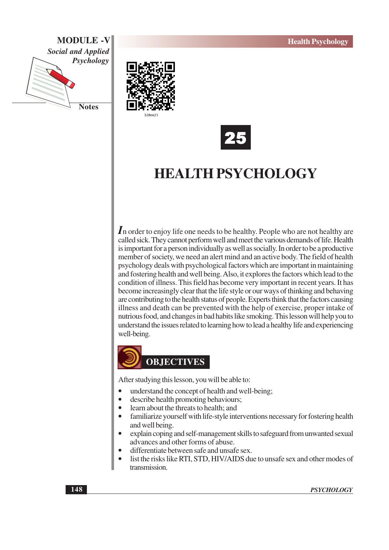





# **HEALTH PSYCHOLOGY**

In order to enjoy life one needs to be healthy. People who are not healthy are called sick. They cannot perform well and meet the various demands of life. Health is important for a person individually as well as socially. In order to be a productive member of society, we need an alert mind and an active body. The field of health psychology deals with psychological factors which are important in maintaining and fostering health and well being. Also, it explores the factors which lead to the condition of illness. This field has become very important in recent years. It has become increasingly clear that the life style or our ways of thinking and behaving are contributing to the health status of people. Experts think that the factors causing illness and death can be prevented with the help of exercise, proper intake of nutrious food, and changes in bad habits like smoking. This lesson will help you to understand the issues related to learning how to lead a healthy life and experiencing well-being.



After studying this lesson, you will be able to:

- understand the concept of health and well-being;
- $\bullet$ describe health promoting behaviours;
- learn about the threats to health; and
- familiarize yourself with life-style interventions necessary for fostering health and well being.
- explain coping and self-management skills to safeguard from unwanted sexual advances and other forms of abuse.
- differentiate between safe and unsafe sex.
- list the risks like RTI, STD, HIV/AIDS due to unsafe sex and other modes of transmission.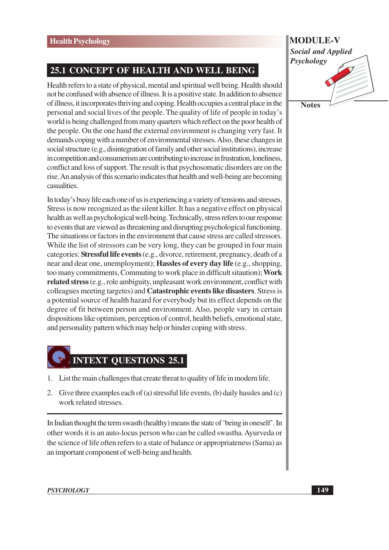# 25.1 CONCEPT OF HEALTH AND WELL BEING

Health refers to a state of physical, mental and spiritual well being. Health should not be confused with absence of illness. It is a positive state. In addition to absence of illness, it incorporates thriving and coping. Health occupies a central place in the personal and social lives of the people. The quality of life of people in today's world is being challenged from many quarters which reflect on the poor health of the people. On the one hand the external environment is changing very fast. It demands coping with a number of environmental stresses. Also, these changes in social structure (e.g., disintegration of family and other social institutions), increase in competition and consumerism are contributing to increase in frustration, loneliness, conflict and loss of support. The result is that psychosomatic disorders are on the rise. An analysis of this scenario indicates that health and well-being are becoming casualities.

In today's busy life each one of us is experiencing a variety of tensions and stresses. Stress is now recognized as the silent killer. It has a negative effect on physical health as well as psychological well-being. Technically, stress refers to our response to events that are viewed as threatening and disrupting psychological functioning. The situations or factors in the environment that cause stress are called stressors. While the list of stressors can be very long, they can be grouped in four main categories: Stressful life events (e.g., divorce, retirement, pregnancy, death of a near and dear one, unemployment); Hassles of every day life (e.g., shopping, too many commitments, Commuting to work place in difficult situation); Work related stress (e.g., role ambiguity, unpleasant work environment, conflict with colleagues meeting targetes) and **Catastrophic events like disasters**. Stress is a potential source of health hazard for everybody but its effect depends on the degree of fit between person and environment. Also, people vary in certain dispositions like optimism, perception of control, health beliefs, emotional state, and personality pattern which may help or hinder coping with stress.

# **INTEXT OUESTIONS 25.1**

- 1. List the main challenges that create threat to quality of life in modern life.
- 2. Give three examples each of (a) stressful life events, (b) daily has sles and (c) work related stresses.

In Indian thought the term swasth (healthy) means the state of 'being in oneself'. In other words it is an auto-locus person who can be called swastha. Ayurveda or the science of life often refers to a state of balance or appropriateness (Sama) as an important component of well-being and health.

**MODULE-V Social and Applied** Psychology **Notes**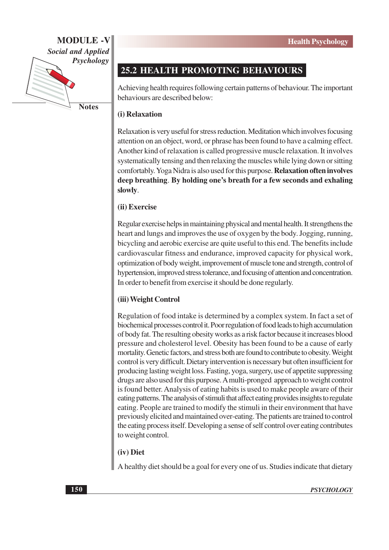

**Notes** 

# **25.2 HEALTH PROMOTING BEHAVIOURS**

Achieving health requires following certain patterns of behaviour. The important behaviours are described below:

#### (i) Relaxation

Relaxation is very useful for stress reduction. Meditation which involves focusing attention on an object, word, or phrase has been found to have a calming effect. Another kind of relaxation is called progressive muscle relaxation. It involves systematically tensing and then relaxing the muscles while lying down or sitting comfortably. Yoga Nidra is also used for this purpose. Relaxation often involves deep breathing. By holding one's breath for a few seconds and exhaling slowly.

#### (ii) Exercise

Regular exercise helps in maintaining physical and mental health. It strengthens the heart and lungs and improves the use of oxygen by the body. Jogging, running, bicycling and aerobic exercise are quite useful to this end. The benefits include cardiovascular fitness and endurance, improved capacity for physical work, optimization of body weight, improvement of muscle tone and strength, control of hypertension, improved stress tolerance, and focusing of attention and concentration. In order to benefit from exercise it should be done regularly.

#### (iii) Weight Control

Regulation of food intake is determined by a complex system. In fact a set of biochemical processes control it. Poor regulation of food leads to high accumulation of body fat. The resulting obesity works as a risk factor because it increases blood pressure and cholesterol level. Obesity has been found to be a cause of early mortality. Genetic factors, and stress both are found to contribute to obesity. Weight control is very difficult. Dietary intervention is necessary but often insufficient for producing lasting weight loss. Fasting, yoga, surgery, use of appetite suppressing drugs are also used for this purpose. A multi-pronged approach to weight control is found better. Analysis of eating habits is used to make people aware of their eating patterns. The analysis of stimuli that affect eating provides insights to regulate eating. People are trained to modify the stimuli in their environment that have previously elicited and maintained over-eating. The patients are trained to control the eating process itself. Developing a sense of self control over eating contributes to weight control.

#### (iv) Diet

A healthy diet should be a goal for every one of us. Studies indicate that dietary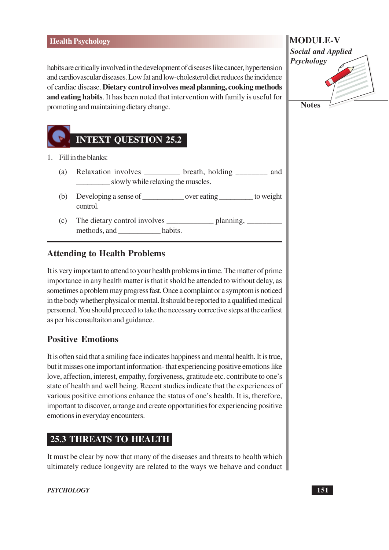#### **Health Psychology**

habits are critically involved in the development of diseases like cancer, hypertension and cardiovascular diseases. Low fat and low-cholesterol diet reduces the incidence of cardiac disease. Dietary control involves meal planning, cooking methods and eating habits. It has been noted that intervention with family is useful for promoting and maintaining dietary change.



- 1. Fill in the blanks:
	- Relaxation involves \_\_\_\_\_\_\_\_ breath, holding \_\_\_\_\_\_ and  $(a)$ slowly while relaxing the muscles.
	- $(b)$ control.
	- $(c)$ and the habits. methods, and

#### **Attending to Health Problems**

It is very important to attend to your health problems in time. The matter of prime importance in any health matter is that it shold be attended to without delay, as sometimes a problem may progress fast. Once a complaint or a symptom is noticed in the body whether physical or mental. It should be reported to a qualified medical personnel. You should proceed to take the necessary corrective steps at the earliest as per his consultaiton and guidance.

### **Positive Emotions**

It is often said that a smiling face indicates happiness and mental health. It is true, but it misses one important information-that experiencing positive emotions like love, affection, interest, empathy, forgiveness, gratitude etc. contribute to one's state of health and well being. Recent studies indicate that the experiences of various positive emotions enhance the status of one's health. It is, therefore, important to discover, arrange and create opportunities for experiencing positive emotions in everyday encounters.

## **25.3 THREATS TO HEALTH**

It must be clear by now that many of the diseases and threats to health which ultimately reduce longevity are related to the ways we behave and conduct

#### **PSYCHOLOGY**

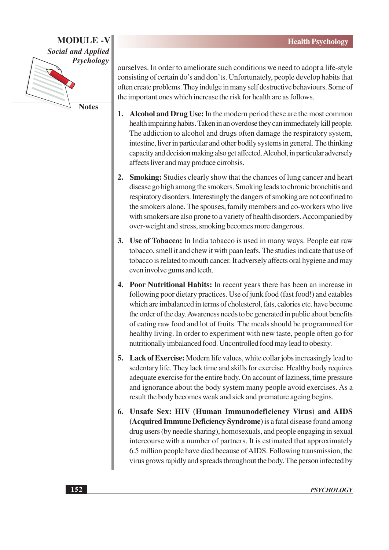

**Notes** 

ourselves. In order to ameliorate such conditions we need to adopt a life-style consisting of certain do's and don'ts. Unfortunately, people develop habits that often create problems. They indulge in many self destructive behaviours. Some of the important ones which increase the risk for health are as follows.

- 1. Alcohol and Drug Use: In the modern period these are the most common health impairing habits. Taken in an overdose they can immediately kill people. The addiction to alcohol and drugs often damage the respiratory system, intestine, liver in particular and other bodily systems in general. The thinking capacity and decision making also get affected. Alcohol, in particular adversely affects liver and may produce cirrohsis.
- 2. Smoking: Studies clearly show that the chances of lung cancer and heart disease go high among the smokers. Smoking leads to chronic bronchitis and respiratory disorders. Interestingly the dangers of smoking are not confined to the smokers alone. The spouses, family members and co-workers who live with smokers are also prone to a variety of health disorders. Accompanied by over-weight and stress, smoking becomes more dangerous.
- 3. Use of Tobacco: In India tobacco is used in many ways. People eat raw tobacco, smell it and chew it with paan leafs. The studies indicate that use of tobacco is related to mouth cancer. It adversely affects oral hygiene and may even involve gums and teeth.
- 4. Poor Nutritional Habits: In recent years there has been an increase in following poor dietary practices. Use of junk food (fast food!) and eatables which are imbalanced in terms of cholesterol, fats, calories etc. have become the order of the day. Awareness needs to be generated in public about benefits of eating raw food and lot of fruits. The meals should be programmed for healthy living. In order to experiment with new taste, people often go for nutritionally imbalanced food. Uncontrolled food may lead to obesity.
- Lack of Exercise: Modern life values, white collar jobs increasingly lead to 5. sedentary life. They lack time and skills for exercise. Healthy body requires adequate exercise for the entire body. On account of laziness, time pressure and ignorance about the body system many people avoid exercises. As a result the body becomes weak and sick and premature ageing begins.
- 6. Unsafe Sex: HIV (Human Immunodeficiency Virus) and AIDS (Acquired Immune Deficiency Syndrome) is a fatal disease found among drug users (by needle sharing), homosexuals, and people engaging in sexual intercourse with a number of partners. It is estimated that approximately 6.5 million people have died because of AIDS. Following transmission, the virus grows rapidly and spreads throughout the body. The person infected by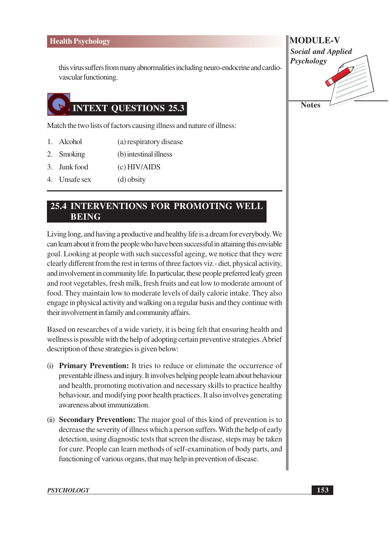this virus suffers from many abnormalities including neuro-endocrine and cardiovascular functioning.

# **INTEXT QUESTIONS 25.3**

Match the two lists of factors causing illness and nature of illness:

- 1. Alcohol (a) respiratory disease
- 2. Smoking (b) intestinal illness
- 3. Junk food  $(c)$  HIV/AIDS
- 4. Unsafe sex (d) obsity

#### 25.4 INTERVENTIONS FOR PROMOTING WELL **BEING**

Living long, and having a productive and healthy life is a dream for everybody. We can learn about it from the people who have been successful in attaining this enviable goal. Looking at people with such successful ageing, we notice that they were clearly different from the rest in terms of three factors viz.- diet, physical activity, and involvement in community life. In particular, these people preferred leafy green and root vegetables, fresh milk, fresh fruits and eat low to moderate amount of food. They maintain low to moderate levels of daily calorie intake. They also engage in physical activity and walking on a regular basis and they continue with their involvement in family and community affairs.

Based on researches of a wide variety, it is being felt that ensuring health and wellness is possible with the help of adopting certain preventive strategies. A brief description of these strategies is given below:

- (i) Primary Prevention: It tries to reduce or eliminate the occurrence of preventable illness and injury. It involves helping people learn about behaviour and health, promoting motivation and necessary skills to practice healthy behaviour, and modifying poor health practices. It also involves generating awareness about immunization.
- (ii) Secondary Prevention: The major goal of this kind of prevention is to decrease the severity of illness which a person suffers. With the help of early detection, using diagnostic tests that screen the disease, steps may be taken for cure. People can learn methods of self-examination of body parts, and functioning of various organs, that may help in prevention of disease.

**MODULE-V Social and Applied** Psychology **Notes**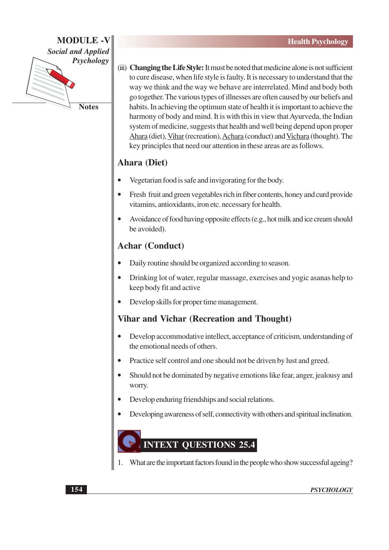

(iii) Changing the Life Style: It must be noted that medicine alone is not sufficient to cure disease, when life style is faulty. It is necessary to understand that the way we think and the way we behave are interrelated. Mind and body both go together. The various types of illnesses are often caused by our beliefs and habits. In achieving the optimum state of health it is important to achieve the harmony of body and mind. It is with this in view that Ayurveda, the Indian system of medicine, suggests that health and well being depend upon proper Ahara (diet), Vihar (recreation), Achara (conduct) and Vichara (thought). The key principles that need our attention in these areas are as follows.

# **Ahara** (Diet)

- Vegetarian food is safe and invigorating for the body.
- Fresh fruit and green vegetables rich in fiber contents, honey and curd provide vitamins, antioxidants, iron etc. necessary for health.
- Avoidance of food having opposite effects (e.g., hot milk and ice cream should be avoided).

## **Achar (Conduct)**

- Daily routine should be organized according to season.
- Drinking lot of water, regular massage, exercises and yogic asanas help to keep body fit and active
- Develop skills for proper time management.

### **Vihar and Vichar (Recreation and Thought)**

- Develop accommodative intellect, acceptance of criticism, understanding of the emotional needs of others.
- Practice self control and one should not be driven by lust and greed.
- Should not be dominated by negative emotions like fear, anger, jealousy and worry.
- Develop enduring friendships and social relations.
- Developing awareness of self, connectivity with others and spiritual inclination.

# **INTEXT QUESTIONS 25.4**

What are the important factors found in the people who show successful ageing?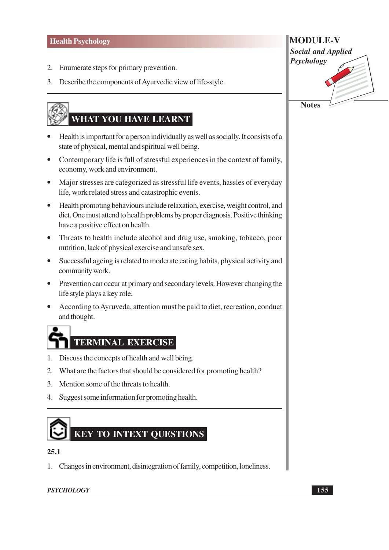- 2. Enumerate steps for primary prevention.
- 3. Describe the components of Ayurvedic view of life-style.

# WHAT YOU HAVE LEARNT

- Health is important for a person individually as well as socially. It consists of a state of physical, mental and spiritual well being.
- Contemporary life is full of stressful experiences in the context of family, economy, work and environment.
- Major stresses are categorized as stressful life events, hassles of everyday life, work related stress and catastrophic events.
- $\bullet$ Health promoting behaviours include relaxation, exercise, weight control, and diet. One must attend to health problems by proper diagnosis. Positive thinking have a positive effect on health.
- Threats to health include alcohol and drug use, smoking, tobacco, poor nutrition, lack of physical exercise and unsafe sex.
- Successful ageing is related to moderate eating habits, physical activity and  $\bullet$ community work.
- Prevention can occur at primary and secondary levels. However changing the life style plays a key role.
- According to Ayruveda, attention must be paid to diet, recreation, conduct  $\bullet$ and thought.



- 1. Discuss the concepts of health and well being.
- 2. What are the factors that should be considered for promoting health?
- 3. Mention some of the threats to health.
- 4. Suggest some information for promoting health.

# **KEY TO INTEXT OUESTIONS**

#### $25.1$

1. Changes in environment, disintegration of family, competition, loneliness.

#### **PSYCHOLOGY**

**MODULE-V Social and Applied** Psychology **Notes**